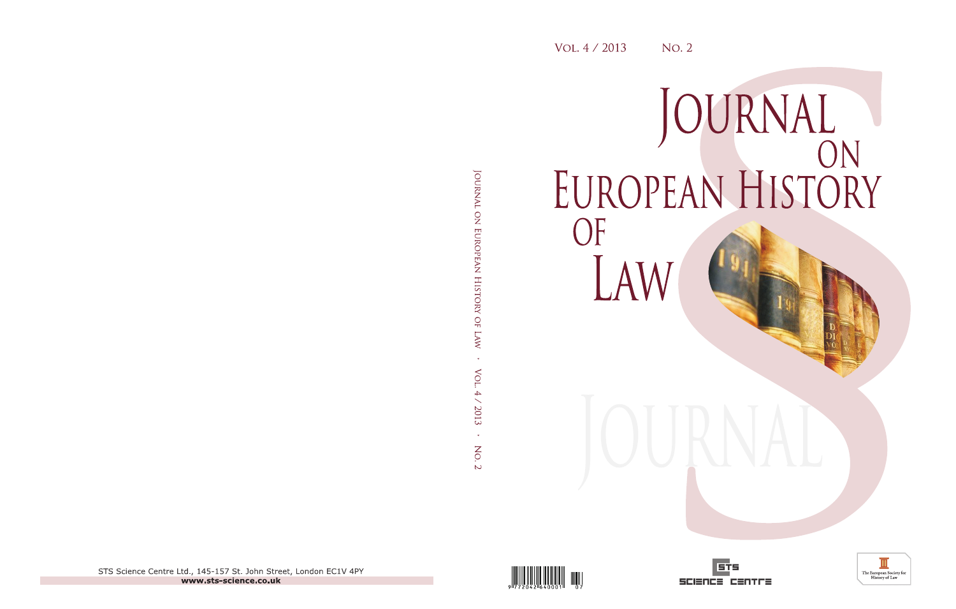# JOURNAL<br>EUROPEAN HISTORY OF LAW